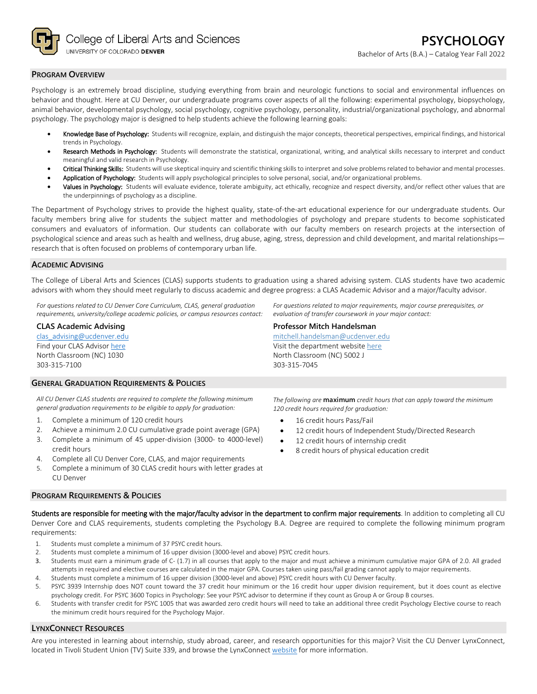

### **PROGRAM OVERVIEW**

Psychology is an extremely broad discipline, studying everything from brain and neurologic functions to social and environmental influences on behavior and thought. Here at CU Denver, our undergraduate programs cover aspects of all the following: experimental psychology, biopsychology, animal behavior, developmental psychology, social psychology, cognitive psychology, personality, industrial/organizational psychology, and abnormal psychology. The psychology major is designed to help students achieve the following learning goals:

- Knowledge Base of Psychology: Students will recognize, explain, and distinguish the major concepts, theoretical perspectives, empirical findings, and historical trends in Psychology.
- Research Methods in Psychology: Students will demonstrate the statistical, organizational, writing, and analytical skills necessary to interpret and conduct meaningful and valid research in Psychology.
- Critical Thinking Skills: Students will use skeptical inquiry and scientific thinking skills to interpret and solve problems related to behavior and mental processes.
- Application of Psychology: Students will apply psychological principles to solve personal, social, and/or organizational problems.
- Values in Psychology: Students will evaluate evidence, tolerate ambiguity, act ethically, recognize and respect diversity, and/or reflect other values that are the underpinnings of psychology as a discipline.

The Department of Psychology strives to provide the highest quality, state-of-the-art educational experience for our undergraduate students. Our faculty members bring alive for students the subject matter and methodologies of psychology and prepare students to become sophisticated consumers and evaluators of information. Our students can collaborate with our faculty members on research projects at the intersection of psychological science and areas such as health and wellness, drug abuse, aging, stress, depression and child development, and marital relationships research that is often focused on problems of contemporary urban life.

### **ACADEMIC ADVISING**

The College of Liberal Arts and Sciences (CLAS) supports students to graduation using a shared advising system. CLAS students have two academic advisors with whom they should meet regularly to discuss academic and degree progress: a CLAS Academic Advisor and a major/faculty advisor.

*For questions related to CU Denver Core Curriculum, CLAS, general graduation requirements, university/college academic policies, or campus resources contact:*

#### **CLAS Academic Advising**

[clas\\_advising@ucdenver.edu](mailto:clas_advising@ucdenver.edu) Find your CLAS Adviso[r here](https://clas.ucdenver.edu/advising/) North Classroom (NC) 1030 303-315-7100

#### **GENERAL GRADUATION REQUIREMENTS & POLICIES**

*All CU Denver CLAS students are required to complete the following minimum general graduation requirements to be eligible to apply for graduation:*

- 1. Complete a minimum of 120 credit hours
- 2. Achieve a minimum 2.0 CU cumulative grade point average (GPA)
- 3. Complete a minimum of 45 upper-division (3000- to 4000-level) credit hours
- 4. Complete all CU Denver Core, CLAS, and major requirements
- 5. Complete a minimum of 30 CLAS credit hours with letter grades at CU Denver

### **PROGRAM REQUIREMENTS & POLICIES**

*The following are* **maximum** *credit hours that can apply toward the minimum 120 credit hours required for graduation:*

- 16 credit hours Pass/Fail
- 12 credit hours of Independent Study/Directed Research
- 12 credit hours of internship credit
- 8 credit hours of physical education credit

Students are responsible for meeting with the major/faculty advisor in the department to confirm major requirements. In addition to completing all CU Denver Core and CLAS requirements, students completing the Psychology B.A. Degree are required to complete the following minimum program requirements:

- 1. Students must complete a minimum of 37 PSYC credit hours.
- 2. Students must complete a minimum of 16 upper division (3000-level and above) PSYC credit hours.
- 3. Students must earn a minimum grade of C- (1.7) in all courses that apply to the major and must achieve a minimum cumulative major GPA of 2.0. All graded attempts in required and elective courses are calculated in the major GPA. Courses taken using pass/fail grading cannot apply to major requirements.
- 4. Students must complete a minimum of 16 upper division (3000-level and above) PSYC credit hours with CU Denver faculty.
- 5. PSYC 3939 Internship does NOT count toward the 37 credit hour minimum or the 16 credit hour upper division requirement, but it does count as elective psychology credit. For PSYC 3600 Topics in Psychology: See your PSYC advisor to determine if they count as Group A or Group B courses.
- 6. Students with transfer credit for PSYC 1005 that was awarded zero credit hours will need to take an additional three credit Psychology Elective course to reach the minimum credit hours required for the Psychology Major.

### **LYNXCONNECT RESOURCES**

Are you interested in learning about internship, study abroad, career, and research opportunities for this major? Visit the CU Denver LynxConnect, located in Tivoli Student Union (TV) Suite 339, and browse the LynxConnec[t website](http://www.ucdenver.edu/lynxconnect/Pages/default.aspx) for more information.

#### *For questions related to major requirements, major course prerequisites, or evaluation of transfer coursework in your major contact:*

#### **Professor Mitch Handelsman**

[mitchell.handelsman@ucdenver.edu](mailto:mitchell.handelsman@ucdenver.edu) Visit the department websit[e here](https://clas.ucdenver.edu/psychology/) North Classroom (NC) 5002 J 303-315-7045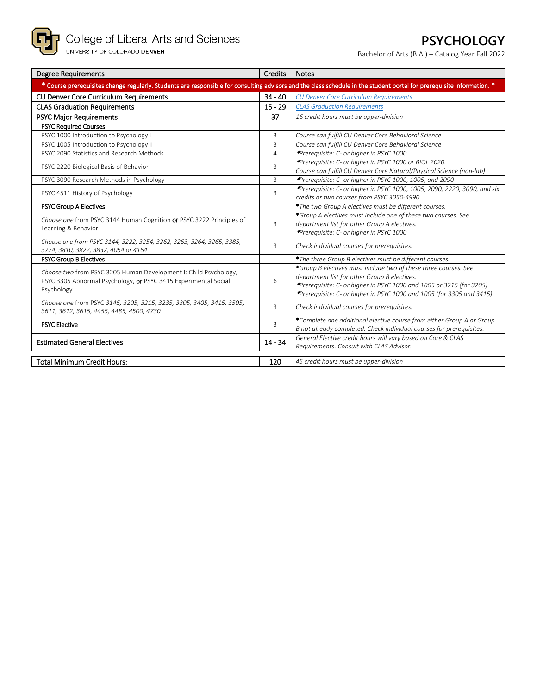

# **PSYCHOLOGY**

Bachelor of Arts (B.A.) – Catalog Year Fall 2022

| <b>Degree Requirements</b>                                                                                                                                             | <b>Credits</b> | <b>Notes</b>                                                                                                                                                                                                                                                     |  |  |
|------------------------------------------------------------------------------------------------------------------------------------------------------------------------|----------------|------------------------------------------------------------------------------------------------------------------------------------------------------------------------------------------------------------------------------------------------------------------|--|--|
| * Course prerequisites change regularly. Students are responsible for consulting advisors and the class schedule in the student portal for prerequisite information. * |                |                                                                                                                                                                                                                                                                  |  |  |
| <b>CU Denver Core Curriculum Requirements</b>                                                                                                                          | $34 - 40$      | <b>CU Denver Core Curriculum Requirements</b>                                                                                                                                                                                                                    |  |  |
| <b>CLAS Graduation Requirements</b>                                                                                                                                    | $15 - 29$      | <b>CLAS Graduation Requirements</b>                                                                                                                                                                                                                              |  |  |
| <b>PSYC Major Requirements</b>                                                                                                                                         | 37             | 16 credit hours must be upper-division                                                                                                                                                                                                                           |  |  |
| <b>PSYC Required Courses</b>                                                                                                                                           |                |                                                                                                                                                                                                                                                                  |  |  |
| PSYC 1000 Introduction to Psychology I                                                                                                                                 | $\overline{3}$ | Course can fulfill CU Denver Core Behavioral Science                                                                                                                                                                                                             |  |  |
| PSYC 1005 Introduction to Psychology II                                                                                                                                | $\overline{3}$ | Course can fulfill CU Denver Core Behavioral Science                                                                                                                                                                                                             |  |  |
| PSYC 2090 Statistics and Research Methods                                                                                                                              | $\overline{4}$ | *Prerequisite: C- or higher in PSYC 1000                                                                                                                                                                                                                         |  |  |
| PSYC 2220 Biological Basis of Behavior                                                                                                                                 | 3              | *Prerequisite: C- or higher in PSYC 1000 or BIOL 2020.<br>Course can fulfill CU Denver Core Natural/Physical Science (non-lab)                                                                                                                                   |  |  |
| PSYC 3090 Research Methods in Psychology                                                                                                                               | 3              | *Prerequisite: C- or higher in PSYC 1000, 1005, and 2090                                                                                                                                                                                                         |  |  |
| PSYC 4511 History of Psychology                                                                                                                                        | 3              | *Prerequisite: C- or higher in PSYC 1000, 1005, 2090, 2220, 3090, and six<br>credits or two courses from PSYC 3050-4990                                                                                                                                          |  |  |
| <b>PSYC Group A Electives</b>                                                                                                                                          |                | *The two Group A electives must be different courses.                                                                                                                                                                                                            |  |  |
| Choose one from PSYC 3144 Human Cognition or PSYC 3222 Principles of<br>Learning & Behavior                                                                            | 3              | *Group A electives must include one of these two courses. See<br>department list for other Group A electives.<br>*Prerequisite: C- or higher in PSYC 1000                                                                                                        |  |  |
| Choose one from PSYC 3144, 3222, 3254, 3262, 3263, 3264, 3265, 3385,<br>3724, 3810, 3822, 3832, 4054 or 4164                                                           | 3              | Check individual courses for prerequisites.                                                                                                                                                                                                                      |  |  |
| <b>PSYC Group B Electives</b>                                                                                                                                          |                | *The three Group B electives must be different courses.                                                                                                                                                                                                          |  |  |
| Choose two from PSYC 3205 Human Development I: Child Psychology,<br>PSYC 3305 Abnormal Psychology, or PSYC 3415 Experimental Social<br>Psychology                      | 6              | *Group B electives must include two of these three courses. See<br>department list for other Group B electives.<br>*Prerequisite: C- or higher in PSYC 1000 and 1005 or 3215 (for 3205)<br>*Prerequisite: C- or higher in PSYC 1000 and 1005 (for 3305 and 3415) |  |  |
| Choose one from PSYC 3145, 3205, 3215, 3235, 3305, 3405, 3415, 3505,<br>3611, 3612, 3615, 4455, 4485, 4500, 4730                                                       | 3              | Check individual courses for prerequisites.                                                                                                                                                                                                                      |  |  |
| <b>PSYC Elective</b>                                                                                                                                                   | 3              | *Complete one additional elective course from either Group A or Group<br>B not already completed. Check individual courses for prerequisites.                                                                                                                    |  |  |
| <b>Estimated General Electives</b>                                                                                                                                     | $14 - 34$      | General Elective credit hours will vary based on Core & CLAS<br>Requirements. Consult with CLAS Advisor.                                                                                                                                                         |  |  |
| <b>Total Minimum Credit Hours:</b>                                                                                                                                     | 120            | 45 credit hours must be upper-division                                                                                                                                                                                                                           |  |  |